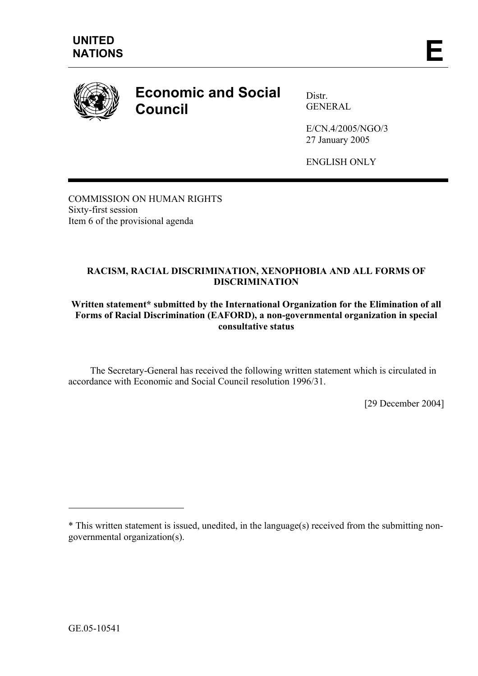

## **Economic and Social Council**

Distr. GENERAL

E/CN.4/2005/NGO/3 27 January 2005

ENGLISH ONLY

COMMISSION ON HUMAN RIGHTS Sixty-first session Item 6 of the provisional agenda

## **RACISM, RACIAL DISCRIMINATION, XENOPHOBIA AND ALL FORMS OF DISCRIMINATION**

## **Written statement\* submitted by the International Organization for the Elimination of all Forms of Racial Discrimination (EAFORD), a non-governmental organization in special consultative status**

 The Secretary-General has received the following written statement which is circulated in accordance with Economic and Social Council resolution 1996/31.

[29 December 2004]

 $\overline{a}$ 

<sup>\*</sup> This written statement is issued, unedited, in the language(s) received from the submitting nongovernmental organization(s).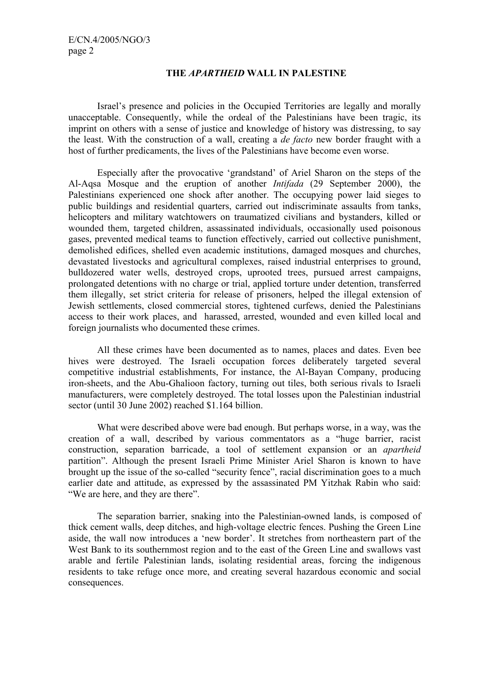## **THE** *APARTHEID* **WALL IN PALESTINE**

 Israel's presence and policies in the Occupied Territories are legally and morally unacceptable. Consequently, while the ordeal of the Palestinians have been tragic, its imprint on others with a sense of justice and knowledge of history was distressing, to say the least. With the construction of a wall, creating a *de facto* new border fraught with a host of further predicaments, the lives of the Palestinians have become even worse.

 Especially after the provocative 'grandstand' of Ariel Sharon on the steps of the Al-Aqsa Mosque and the eruption of another *Intifada* (29 September 2000), the Palestinians experienced one shock after another. The occupying power laid sieges to public buildings and residential quarters, carried out indiscriminate assaults from tanks, helicopters and military watchtowers on traumatized civilians and bystanders, killed or wounded them, targeted children, assassinated individuals, occasionally used poisonous gases, prevented medical teams to function effectively, carried out collective punishment, demolished edifices, shelled even academic institutions, damaged mosques and churches, devastated livestocks and agricultural complexes, raised industrial enterprises to ground, bulldozered water wells, destroyed crops, uprooted trees, pursued arrest campaigns, prolongated detentions with no charge or trial, applied torture under detention, transferred them illegally, set strict criteria for release of prisoners, helped the illegal extension of Jewish settlements, closed commercial stores, tightened curfews, denied the Palestinians access to their work places, and harassed, arrested, wounded and even killed local and foreign journalists who documented these crimes.

 All these crimes have been documented as to names, places and dates. Even bee hives were destroyed. The Israeli occupation forces deliberately targeted several competitive industrial establishments, For instance, the Al-Bayan Company, producing iron-sheets, and the Abu-Ghalioon factory, turning out tiles, both serious rivals to Israeli manufacturers, were completely destroyed. The total losses upon the Palestinian industrial sector (until 30 June 2002) reached \$1.164 billion.

 What were described above were bad enough. But perhaps worse, in a way, was the creation of a wall, described by various commentators as a "huge barrier, racist construction, separation barricade, a tool of settlement expansion or an *apartheid*  partition". Although the present Israeli Prime Minister Ariel Sharon is known to have brought up the issue of the so-called "security fence", racial discrimination goes to a much earlier date and attitude, as expressed by the assassinated PM Yitzhak Rabin who said: "We are here, and they are there".

 The separation barrier, snaking into the Palestinian-owned lands, is composed of thick cement walls, deep ditches, and high-voltage electric fences. Pushing the Green Line aside, the wall now introduces a 'new border'. It stretches from northeastern part of the West Bank to its southernmost region and to the east of the Green Line and swallows vast arable and fertile Palestinian lands, isolating residential areas, forcing the indigenous residents to take refuge once more, and creating several hazardous economic and social consequences.